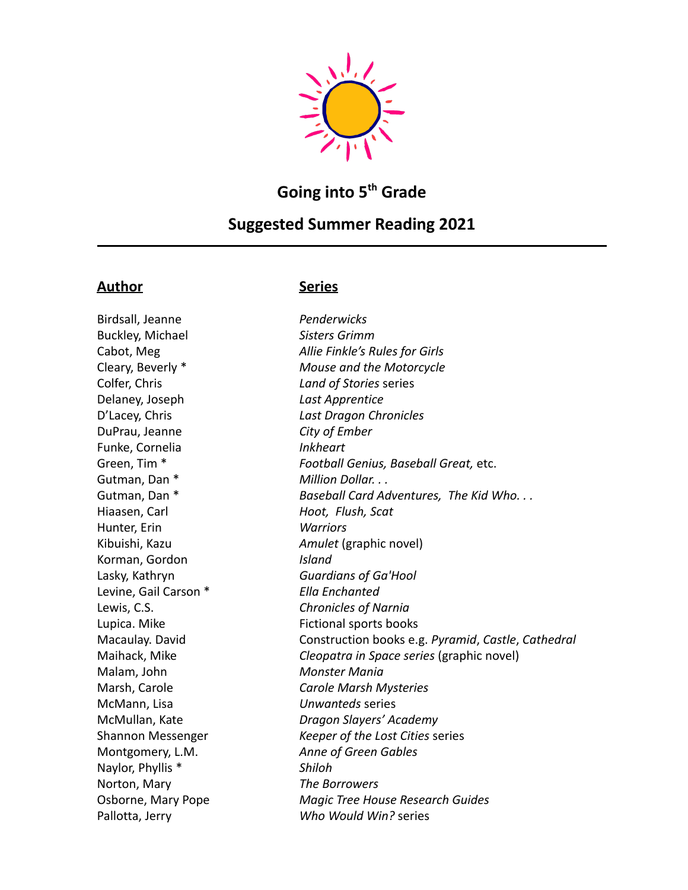

# **Going into 5 th Grade**

## **Suggested Summer Reading 2021**

## **Author Series**

Birdsall, Jeanne *Penderwicks* Buckley, Michael *Sisters Grimm* Colfer, Chris *Land of Stories* series Delaney, Joseph *Last Apprentice* DuPrau, Jeanne *City of Ember* Funke, Cornelia *Inkheart* Gutman, Dan \* **Million Dollar.** . . Hiaasen, Carl *Hoot, Flush, Scat* Hunter, Erin *Warriors* Korman, Gordon *Island* Lasky, Kathryn *Guardians of Ga'Hool* Levine, Gail Carson \* *Ella Enchanted* Lewis, C.S. *Chronicles of Narnia* Lupica. Mike Fictional sports books Malam, John *Monster Mania* McMann, Lisa *Unwanteds* series Montgomery, L.M. *Anne of Green Gables* Naylor, Phyllis \* *Shiloh* Norton, Mary *The Borrowers* Pallotta, Jerry *Who Would Win?* series

Cabot, Meg *Allie Finkle's Rules for Girls* Cleary, Beverly \* *Mouse and the Motorcycle* D'Lacey, Chris *Last Dragon Chronicles* Green, Tim \* *Football Genius, Baseball Great,* etc. Gutman, Dan \* *Baseball Card Adventures, The Kid Who. . .* Kibuishi, Kazu *Amulet* (graphic novel) Macaulay. David Construction books e.g. *Pyramid*, *Castle*, *Cathedral* Maihack, Mike *Cleopatra in Space series* (graphic novel) Marsh, Carole *Carole Marsh Mysteries* McMullan, Kate *Dragon Slayers' Academy* Shannon Messenger *Keeper of the Lost Cities* series Osborne, Mary Pope *Magic Tree House Research Guides*